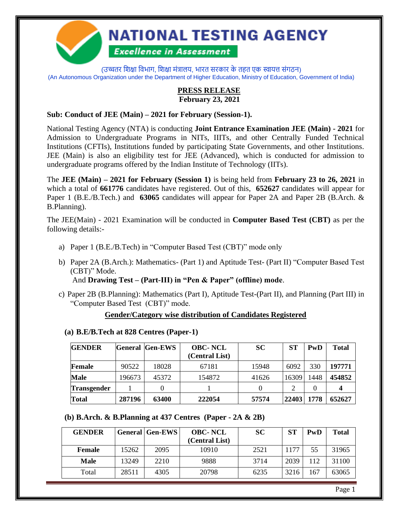

# **NATIONAL TESTING AGENCY**

## **Excellence in Assessment**

(उच्चतर शिक्षा विभाग, शिक्षा मंत्रालय, भारत सरकार के तहत एक स्वायत्त संगठन) (An Autonomous Organization under the Department of Higher Education, Ministry of Education, Government of India)

#### **PRESS RELEASE February 23, 2021**

#### **Sub: Conduct of JEE (Main) – 2021 for February (Session-1).**

National Testing Agency (NTA) is conducting **Joint Entrance Examination JEE (Main) - 2021** for Admission to Undergraduate Programs in NITs, IIITs, and other Centrally Funded Technical Institutions (CFTIs), Institutions funded by participating State Governments, and other Institutions. JEE (Main) is also an eligibility test for JEE (Advanced), which is conducted for admission to undergraduate programs offered by the Indian Institute of Technology (IITs).

The **JEE (Main) – 2021 for February (Session 1)** is being held from **February 23 to 26, 2021** in which a total of **661776** candidates have registered. Out of this, **652627** candidates will appear for Paper 1 (B.E./B.Tech.) and **63065** candidates will appear for Paper 2A and Paper 2B (B.Arch. & B.Planning).

The JEE(Main) - 2021 Examination will be conducted in **Computer Based Test (CBT)** as per the following details:-

- a) Paper 1 (B.E./B.Tech) in "Computer Based Test (CBT)" mode only
- b) Paper 2A (B.Arch.): Mathematics- (Part 1) and Aptitude Test- (Part II) "Computer Based Test (CBT)" Mode.

### And **Drawing Test – (Part-III) in "Pen & Paper" (offline) mode**.

c) Paper 2B (B.Planning): Mathematics (Part I), Aptitude Test-(Part II), and Planning (Part III) in "Computer Based Test (CBT)" mode.

#### **Gender/Category wise distribution of Candidates Registered**

#### **(a) B.E/B.Tech at 828 Centres (Paper-1)**

| <b>GENDER</b>      |        | <b>General Gen-EWS</b> | <b>OBC-NCL</b><br>(Central List) | <b>SC</b> | ST    | PwD  | <b>Total</b> |
|--------------------|--------|------------------------|----------------------------------|-----------|-------|------|--------------|
| Female             | 90522  | 18028                  | 67181                            | 15948     | 6092  | 330  | 197771       |
| <b>Male</b>        | 196673 | 45372                  | 154872                           | 41626     | 16309 | 1448 | 454852       |
| <b>Transgender</b> |        |                        |                                  |           | ↑     |      |              |
| <b>Total</b>       | 287196 | 63400                  | 222054                           | 57574     | 22403 | 1778 | 652627       |

#### **(b) B.Arch. & B.Planning at 437 Centres (Paper - 2A & 2B)**

| <b>GENDER</b> |       | <b>General   Gen-EWS</b> | <b>OBC-NCL</b> | <b>SC</b> | <b>ST</b> | PwD | <b>Total</b> |
|---------------|-------|--------------------------|----------------|-----------|-----------|-----|--------------|
|               |       |                          | (Central List) |           |           |     |              |
| <b>Female</b> | 15262 | 2095                     | 10910          | 2521      | 1177      | 55  | 31965        |
| <b>Male</b>   | 13249 | 2210                     | 9888           | 3714      | 2039      | 112 | 31100        |
| Total         | 28511 | 4305                     | 20798          | 6235      | 3216      | 167 | 63065        |